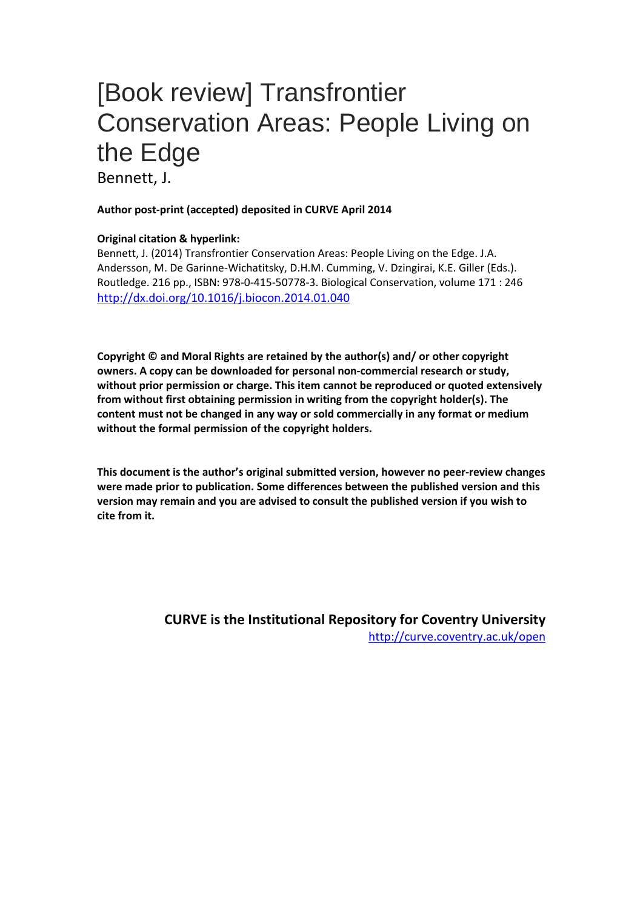## [Book review] Transfrontier Conservation Areas: People Living on the Edge

Bennett, J.

## **Author post-print (accepted) deposited in CURVE April 2014**

## **Original citation & hyperlink:**

Bennett, J. (2014) Transfrontier Conservation Areas: People Living on the Edge. J.A. Andersson, M. De Garinne-Wichatitsky, D.H.M. Cumming, V. Dzingirai, K.E. Giller (Eds.). Routledge. 216 pp., ISBN: 978-0-415-50778-3. Biological Conservation, volume 171 : 246 <http://dx.doi.org/10.1016/j.biocon.2014.01.040>

**Copyright © and Moral Rights are retained by the author(s) and/ or other copyright owners. A copy can be downloaded for personal non-commercial research or study, without prior permission or charge. This item cannot be reproduced or quoted extensively from without first obtaining permission in writing from the copyright holder(s). The content must not be changed in any way or sold commercially in any format or medium without the formal permission of the copyright holders.** 

**This document is the author's original submitted version, however no peer-review changes were made prior to publication. Some differences between the published version and this version may remain and you are advised to consult the published version if you wish to cite from it.** 

> **CURVE is the Institutional Repository for Coventry University** <http://curve.coventry.ac.uk/open>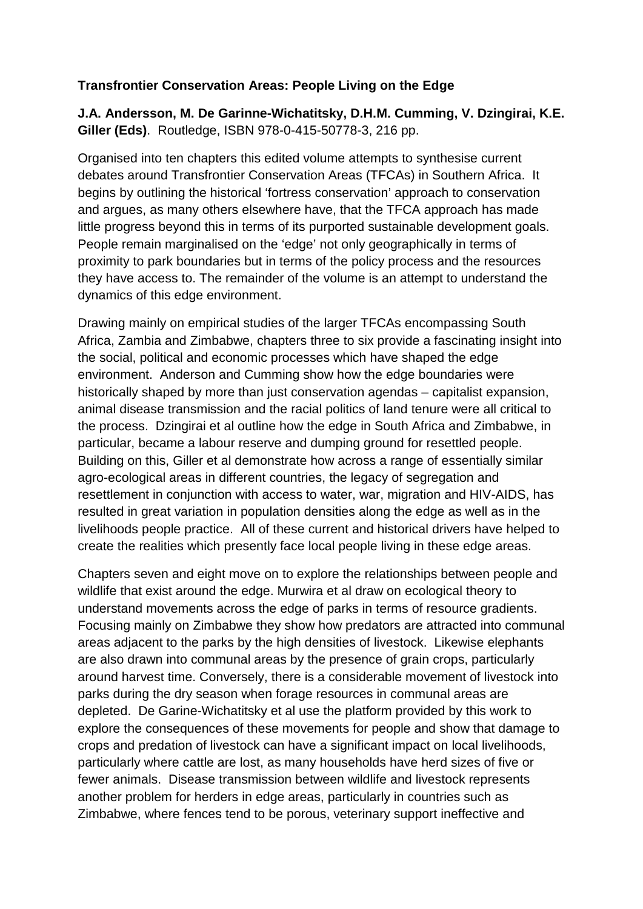## **Transfrontier Conservation Areas: People Living on the Edge**

**J.A. Andersson, M. De Garinne-Wichatitsky, D.H.M. Cumming, V. Dzingirai, K.E. Giller (Eds)**. Routledge, ISBN 978-0-415-50778-3, 216 pp.

Organised into ten chapters this edited volume attempts to synthesise current debates around Transfrontier Conservation Areas (TFCAs) in Southern Africa. It begins by outlining the historical 'fortress conservation' approach to conservation and argues, as many others elsewhere have, that the TFCA approach has made little progress beyond this in terms of its purported sustainable development goals. People remain marginalised on the 'edge' not only geographically in terms of proximity to park boundaries but in terms of the policy process and the resources they have access to. The remainder of the volume is an attempt to understand the dynamics of this edge environment.

Drawing mainly on empirical studies of the larger TFCAs encompassing South Africa, Zambia and Zimbabwe, chapters three to six provide a fascinating insight into the social, political and economic processes which have shaped the edge environment. Anderson and Cumming show how the edge boundaries were historically shaped by more than just conservation agendas – capitalist expansion, animal disease transmission and the racial politics of land tenure were all critical to the process. Dzingirai et al outline how the edge in South Africa and Zimbabwe, in particular, became a labour reserve and dumping ground for resettled people. Building on this, Giller et al demonstrate how across a range of essentially similar agro-ecological areas in different countries, the legacy of segregation and resettlement in conjunction with access to water, war, migration and HIV-AIDS, has resulted in great variation in population densities along the edge as well as in the livelihoods people practice. All of these current and historical drivers have helped to create the realities which presently face local people living in these edge areas.

Chapters seven and eight move on to explore the relationships between people and wildlife that exist around the edge. Murwira et al draw on ecological theory to understand movements across the edge of parks in terms of resource gradients. Focusing mainly on Zimbabwe they show how predators are attracted into communal areas adjacent to the parks by the high densities of livestock. Likewise elephants are also drawn into communal areas by the presence of grain crops, particularly around harvest time. Conversely, there is a considerable movement of livestock into parks during the dry season when forage resources in communal areas are depleted. De Garine-Wichatitsky et al use the platform provided by this work to explore the consequences of these movements for people and show that damage to crops and predation of livestock can have a significant impact on local livelihoods, particularly where cattle are lost, as many households have herd sizes of five or fewer animals. Disease transmission between wildlife and livestock represents another problem for herders in edge areas, particularly in countries such as Zimbabwe, where fences tend to be porous, veterinary support ineffective and